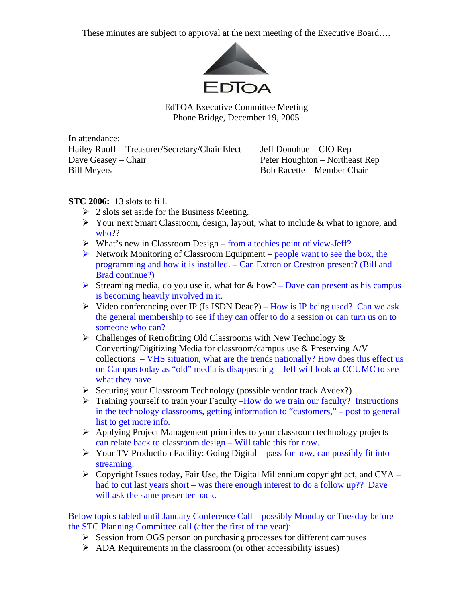These minutes are subject to approval at the next meeting of the Executive Board….



EdTOA Executive Committee Meeting Phone Bridge, December 19, 2005

In attendance: Hailey Ruoff – Treasurer/Secretary/Chair Elect Jeff Donohue – CIO Rep Dave Geasey – Chair **Peter Houghton – Northeast Rep** Bill Meyers – Bob Racette – Member Chair

## **STC 2006:** 13 slots to fill.

- $\geq 2$  slots set aside for the Business Meeting.
- $\triangleright$  Your next Smart Classroom, design, layout, what to include & what to ignore, and who??
- $\triangleright$  What's new in Classroom Design from a techies point of view-Jeff?
- $\triangleright$  Network Monitoring of Classroom Equipment people want to see the box, the programming and how it is installed. – Can Extron or Crestron present? (Bill and Brad continue?)
- Streaming media, do you use it, what for  $&$  how? Dave can present as his campus is becoming heavily involved in it.
- $\triangleright$  Video conferencing over IP (Is ISDN Dead?) How is IP being used? Can we ask the general membership to see if they can offer to do a session or can turn us on to someone who can?
- $\triangleright$  Challenges of Retrofitting Old Classrooms with New Technology  $\&$ Converting/Digitizing Media for classroom/campus use & Preserving A/V collections – VHS situation, what are the trends nationally? How does this effect us on Campus today as "old" media is disappearing – Jeff will look at CCUMC to see what they have
- ¾ Securing your Classroom Technology (possible vendor track Avdex?)
- ¾ Training yourself to train your Faculty –How do we train our faculty? Instructions in the technology classrooms, getting information to "customers," – post to general list to get more info.
- $\triangleright$  Applying Project Management principles to your classroom technology projects can relate back to classroom design – Will table this for now.
- $\triangleright$  Your TV Production Facility: Going Digital pass for now, can possibly fit into streaming.
- $\triangleright$  Copyright Issues today, Fair Use, the Digital Millennium copyright act, and CYA had to cut last years short – was there enough interest to do a follow up?? Dave will ask the same presenter back.

Below topics tabled until January Conference Call – possibly Monday or Tuesday before the STC Planning Committee call (after the first of the year):

- $\triangleright$  Session from OGS person on purchasing processes for different campuses
- $\triangleright$  ADA Requirements in the classroom (or other accessibility issues)